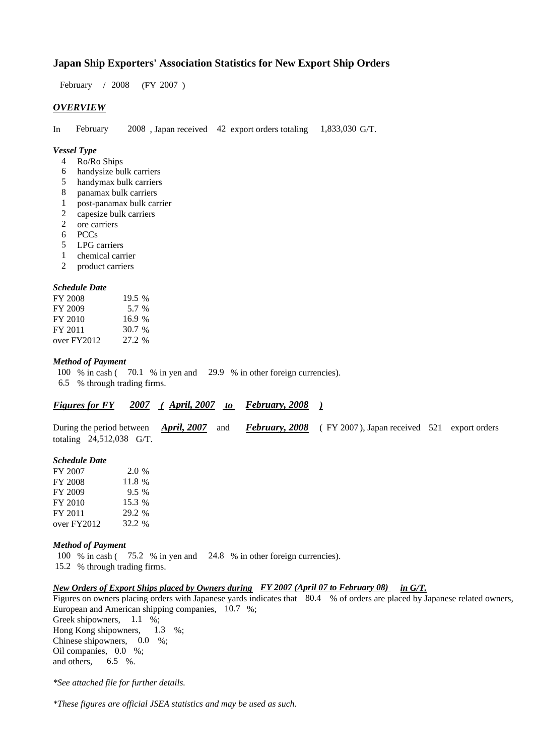### **Japan Ship Exporters' Association Statistics for New Export Ship Orders**

 $/ 2008$  (FY 2007) February / 2008

#### *OVERVIEW*

In February 2008, Japan received 42 export orders totaling  $1,833,030$  G/T. 1,833,030 G/T. February

#### *Vessel Type*

- Ro/Ro Ships 4
- handysize bulk carriers 6
- handymax bulk carriers 5
- panamax bulk carriers 8
- post-panamax bulk carrier 1
- capesize bulk carriers 2
- ore carriers 2
- PCCs 6
- LPG carriers 5
- chemical carrier 1
- product carriers 2

#### *Schedule Date*

| FY 2008     | 19.5 %   |
|-------------|----------|
| FY 2009     | 5.7 %    |
| FY 2010     | 16.9%    |
| FY 2011     | $30.7\%$ |
| over FY2012 | 27.2 %   |

#### *Method of Payment*

100 % in cash (70.1 % in yen and 29.9 % in other foreign currencies). % through trading firms. 6.5

| <b>April, 2007</b><br>February, 2008<br>2007<br><b>Figures for FY</b> |
|-----------------------------------------------------------------------|
|-----------------------------------------------------------------------|

During the period between *April, 2007* and *February, 2008* (FY 2007), Japan received 521 export orders totaling 24,512,038 G/T.

#### *Schedule Date*

| FY 2007     | 2.0 %  |
|-------------|--------|
| FY 2008     | 11.8 % |
| FY 2009     | 9.5%   |
| FY 2010     | 15.3 % |
| FY 2011     | 29.2 % |
| over FY2012 | 32.2 % |

#### *Method of Payment*

100 % in cash (75.2 % in yen and 24.8 % in other foreign currencies). % through trading firms. 15.2

#### *New Orders of Export Ships placed by Owners during FY 2007 (April 07 to February 08) in G/T.*

Figures on owners placing orders with Japanese yards indicates that 80.4 % of orders are placed by Japanese related owners, European and American shipping companies,  $10.7\%$ ; Greek shipowners,  $1.1\%$ ; Hong Kong shipowners,  $1.3 \quad \%$ ;

Chinese shipowners,  $0.0\%$ ; Oil companies, 0.0 %; and others, 6.5 %.

*\*See attached file for further details.*

*\*These figures are official JSEA statistics and may be used as such.*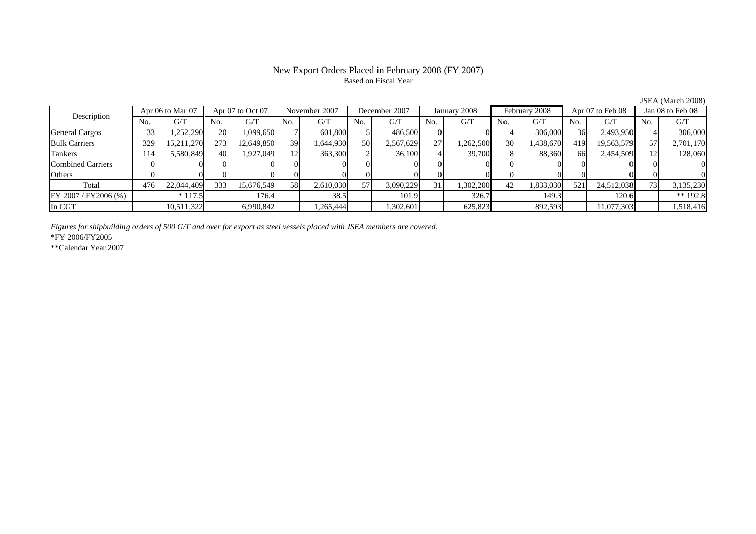## Based on Fiscal Year

No. G/T No. G/T No. G/T No. G/T No. G/T No. G/T No. G/T No. G/TGeneral Cargos | 33| 1,252,290|| 20| 1,099,650| 7| 601,800| 5| 486,500| 0| 0| 4| 306,000| 36| 2,493,950|| 4| 306,000 Bulk Carriers | 329| 15,211,270|| 273| 12,649,850| 39| 1,644,930| 50| 2,567,629| 27| 1,262,500| 30| 1,438,670| 419| 19,563,579|| 57| 2,701,170 Tankers | 114 5,580,849 40 1,927,049 12 363,300 2 36,100 4 39,700 8 88,360 66 2,454,509 12 128,060 Combined Carriers 0 0 0 0 0 0 0 0 0 0 0 0 0 0 0 0Others 0 0 0 0 0 0 0 0 0 0 0 0 0 0 0 0Total 476 22,044,409 333 15,676,549 58 2,610,030 57 3,090,229 31 1,302,200 42 1,833,030 521 24,512,038 73 3,135,230 FY 2007 / FY 2006 (%) \* 117.5 176.4 176.4 38.5 101.9 326.7 149.3 149.3 120.6 \* 120.6 1 In CGT | | 10,511,322 | | 6,990,842 | | 1,265,444 | | 1,302,601 | | 625,823 | | 892,593 | | 11,077,303 | | 1,518,416 November 2007 December 2007Description Apr 06 to Mar 07 Apr 07 to Oct 07 November 2007 December 200<br>No. 6/T No. 6/T No. 6/T No. 6/T No. 6/T Apr 07 to Oct 07 November 2007 December 2007 January 2008 February 2008 Apr 07 to Feb 08 Jan 08 to Feb 08

*Figures for shipbuilding orders of 500 G/T and over for export as steel vessels placed with JSEA members are covered.*

\*FY 2006/FY2005

\*\*Calendar Year 2007

JSEA (March 2008)

## New Export Orders Placed in February 2008 (FY 2007)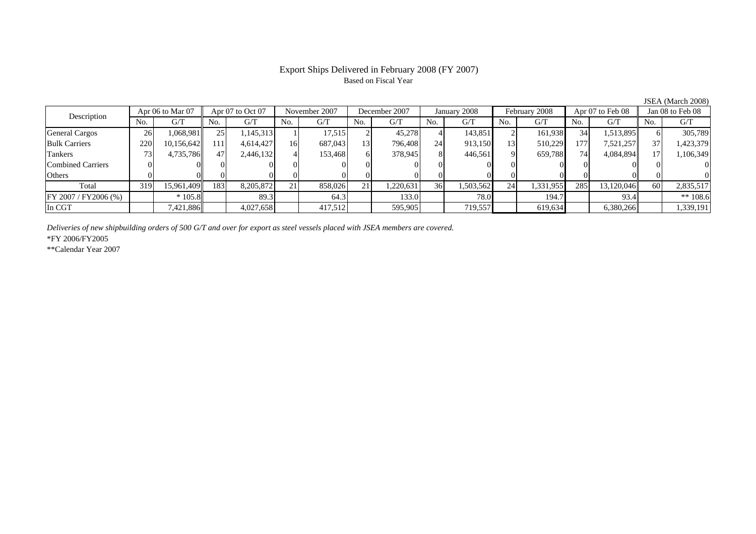## Based on Fiscal Year

No. I G/T II No. I G/T II No. I G/T II No. I G/T G/T II No. I G/T II No. I G/T II No. I G/T II No. I G/T II No  $\mathrm{G}/\mathrm{T}$ General Cargos ( 26 1,068,981 25 1,145,313 1 17,515 2 45,278 4 143,851 2 161,938 34 1,513,895 6 305,789 Bulk Carriers 1 220 10,156,642 111 4,614,427 16 687,043 13 796,408 24 913,150 13 510,229 177 7,521,257 37 1,423,379 Tankers | 73| 4,735,786|| 47| 2,446,132| 4| 153,468| 6| 378,945| 8| 446,561| 9| 659,788| 74| 4,084,894|| 17| 1,106,349 Combined Carriers 0 0 0 0 0 0 0 0 0 0 0 0 0 0 0 0Others | 0 | 0 | 0 | 0 | 0 | 0 | 0 | 0 | 0 | 0 | 0 | 0 Total 319 15,961,409 183 8,205,872 21 858,026 21 1,220,631 36 1,503,562 24 1,331,955 285 13,120,046 60 2,835,517 FY 2007 / FY2006 (%) \* 105.8 89.3 64.3 133.0 78.0 194.7 93.4 \*\* 108.6 In CGT | | 7,421,886| | 4,027,658 | 417,512| | 595,905| | 719,557| | 619,634| | 6,380,266|| | 1,339,191 Apr 07 to Oct 07 November 2007 December 2007 Description Apr 06 to Mar 07 | Apr 07 to Oct 07 | November 2007 | December 2007 | January 2008 | February 2008 | Apr 07 to Feb 08 || Jan 08 to Feb 08

*Deliveries of new shipbuilding orders of 500 G/T and over for export as steel vessels placed with JSEA members are covered.*

\*FY 2006/FY2005

\*\*Calendar Year 2007

JSEA (March 2008)

# Export Ships Delivered in February 2008 (FY 2007)